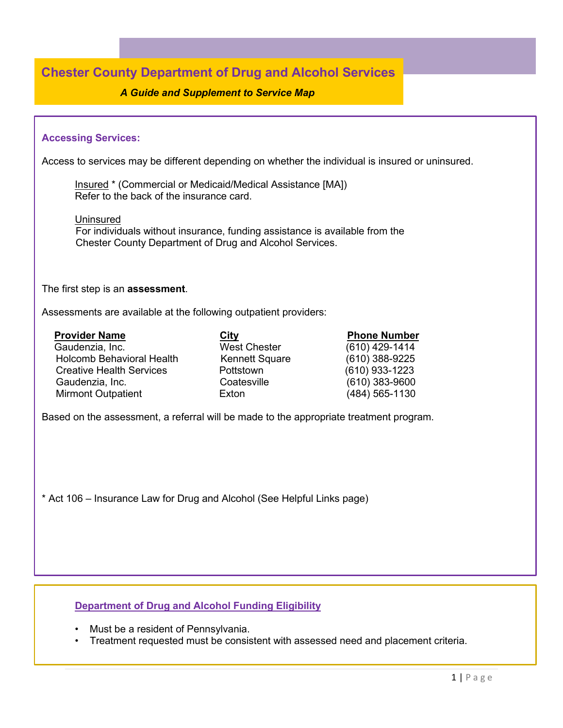# **Chester County Department of Drug and Alcohol Services**

## *A Guide and Supplement to Service Map*

## **Accessing Services:**

Access to services may be different depending on whether the individual is insured or uninsured.

Insured \* (Commercial or Medicaid/Medical Assistance [MA]) Refer to the back of the insurance card.

Uninsured

 For individuals without insurance, funding assistance is available from the Chester County Department of Drug and Alcohol Services.

#### The first step is an **assessment**.

Assessments are available at the following outpatient providers:

| <b>Provider Name</b>             | City                  | <b>Phone Number</b> |
|----------------------------------|-----------------------|---------------------|
| Gaudenzia, Inc.                  | <b>West Chester</b>   | $(610)$ 429-1414    |
| <b>Holcomb Behavioral Health</b> | <b>Kennett Square</b> | $(610)$ 388-9225    |
| <b>Creative Health Services</b>  | Pottstown             | $(610)$ 933-1223    |
| Gaudenzia, Inc.                  | Coatesville           | $(610)$ 383-9600    |
| <b>Mirmont Outpatient</b>        | Exton                 | (484) 565-1130      |
|                                  |                       |                     |

Based on the assessment, a referral will be made to the appropriate treatment program.

\* Act 106 – Insurance Law for Drug and Alcohol (See Helpful Links page)

## **Department of Drug and Alcohol Funding Eligibility**

- Must be a resident of Pennsylvania.
- Treatment requested must be consistent with assessed need and placement criteria.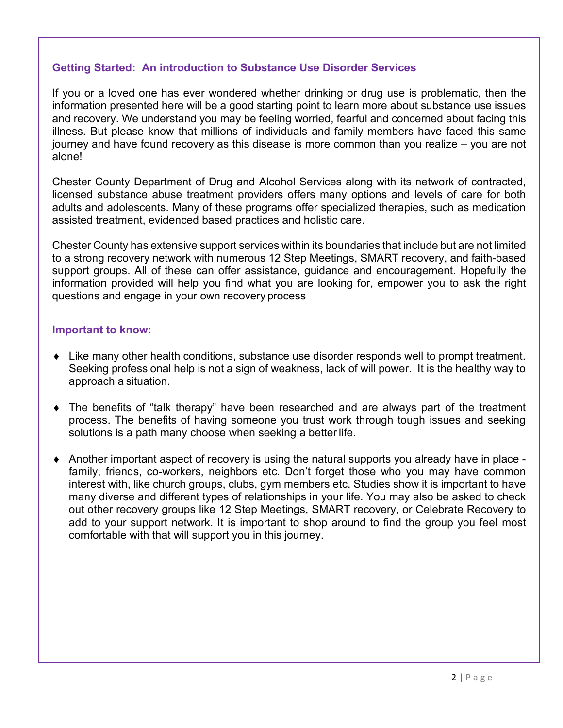## **Getting Started: An introduction to Substance Use Disorder Services**

If you or a loved one has ever wondered whether drinking or drug use is problematic, then the information presented here will be a good starting point to learn more about substance use issues and recovery. We understand you may be feeling worried, fearful and concerned about facing this illness. But please know that millions of individuals and family members have faced this same journey and have found recovery as this disease is more common than you realize – you are not alone!

Chester County Department of Drug and Alcohol Services along with its network of contracted, licensed substance abuse treatment providers offers many options and levels of care for both adults and adolescents. Many of these programs offer specialized therapies, such as medication assisted treatment, evidenced based practices and holistic care.

Chester County has extensive support services within its boundaries that include but are not limited to a strong recovery network with numerous 12 Step Meetings, SMART recovery, and faith-based support groups. All of these can offer assistance, guidance and encouragement. Hopefully the information provided will help you find what you are looking for, empower you to ask the right questions and engage in your own recovery process

## **Important to know:**

- ♦ Like many other health conditions, substance use disorder responds well to prompt treatment. Seeking professional help is not a sign of weakness, lack of will power. It is the healthy way to approach a situation.
- ♦ The benefits of "talk therapy" have been researched and are always part of the treatment process. The benefits of having someone you trust work through tough issues and seeking solutions is a path many choose when seeking a better life.
- $\blacklozenge$  Another important aspect of recovery is using the natural supports you already have in place family, friends, co-workers, neighbors etc. Don't forget those who you may have common interest with, like church groups, clubs, gym members etc. Studies show it is important to have many diverse and different types of relationships in your life. You may also be asked to check out other recovery groups like 12 Step Meetings, SMART recovery, or Celebrate Recovery to add to your support network. It is important to shop around to find the group you feel most comfortable with that will support you in this journey.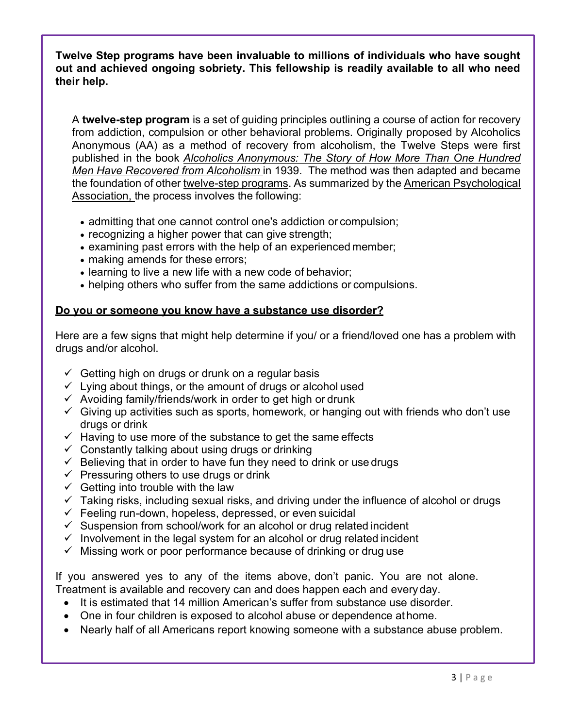**Twelve Step programs have been invaluable to millions of individuals who have sought out and achieved ongoing sobriety. This fellowship is readily available to all who need their help.**

A **twelve-step program** is a set of guiding principles outlining a course of action for recovery from addiction, compulsion or other behavioral problems. Originally proposed by [Alcoholics](http://en.wikipedia.org/wiki/Alcoholics_Anonymous)  [Anonymous](http://en.wikipedia.org/wiki/Alcoholics_Anonymous) (AA) as a method of recovery from alcoholism, the Twelve Steps were first published in the book *[Alcoholics Anonymous: The Story](http://en.wikipedia.org/wiki/The_Big_Book_(Alcoholics_Anonymous)) [of How More Than One Hundred](http://en.wikipedia.org/wiki/The_Big_Book_(Alcoholics_Anonymous))  [Men Have Recovered from Alcoholism](http://en.wikipedia.org/wiki/The_Big_Book_(Alcoholics_Anonymous))* in 1939. The method was then adapted and became the foundation of other [twelve-step](http://en.wikipedia.org/wiki/List_of_twelve-step_groups) [programs.](http://en.wikipedia.org/wiki/List_of_twelve-step_groups) As summarized by the [American Psychological](http://en.wikipedia.org/wiki/American_Psychological_Association)  [Association,](http://en.wikipedia.org/wiki/American_Psychological_Association) the process involves the following:

- admitting that one cannot control one's addiction or compulsion;
- recognizing a higher power that can give strength;
- examining past errors with the help of an experienced member;
- making amends for these errors;
- learning to live a new life with a new code of behavior;
- helping others who suffer from the same addictions or compulsions.

## **Do you or someone you know have a substance use disorder?**

Here are a few signs that might help determine if you/ or a friend/loved one has a problem with drugs and/or alcohol.

- $\checkmark$  Getting high on drugs or drunk on a regular basis
- $\checkmark$  Lying about things, or the amount of drugs or alcohol used
- $\checkmark$  Avoiding family/friends/work in order to get high or drunk
- $\checkmark$  Giving up activities such as sports, homework, or hanging out with friends who don't use drugs or drink
- $\checkmark$  Having to use more of the substance to get the same effects
- $\checkmark$  Constantly talking about using drugs or drinking
- $\checkmark$  Believing that in order to have fun they need to drink or use drugs
- $\checkmark$  Pressuring others to use drugs or drink
- $\checkmark$  Getting into trouble with the law
- $\checkmark$  Taking risks, including sexual risks, and driving under the influence of alcohol or drugs
- $\checkmark$  Feeling run-down, hopeless, depressed, or even suicidal
- $\checkmark$  Suspension from school/work for an alcohol or drug related incident
- $\checkmark$  Involvement in the legal system for an alcohol or drug related incident
- $\checkmark$  Missing work or poor performance because of drinking or drug use

If you answered yes to any of the items above, don't panic. You are not alone. Treatment is available and recovery can and does happen each and every day.

- It is estimated that 14 million American's suffer from substance use disorder.
- One in four children is exposed to alcohol abuse or dependence at home.
- Nearly half of all Americans report knowing someone with a substance abuse problem.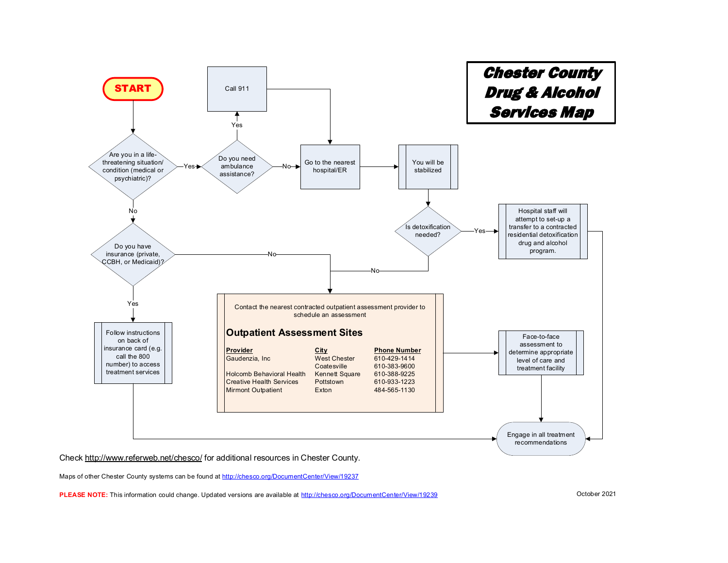

Check http://www.referweb.net/chesco/ for additional resources in Chester County.

Maps of other Chester County systems can be found at http://chesco.org/DocumentCenter/View/19237

**PLEASE NOTE:** This information could change. Updated versions are available at http://chesco.org/DocumentCenter/View/19239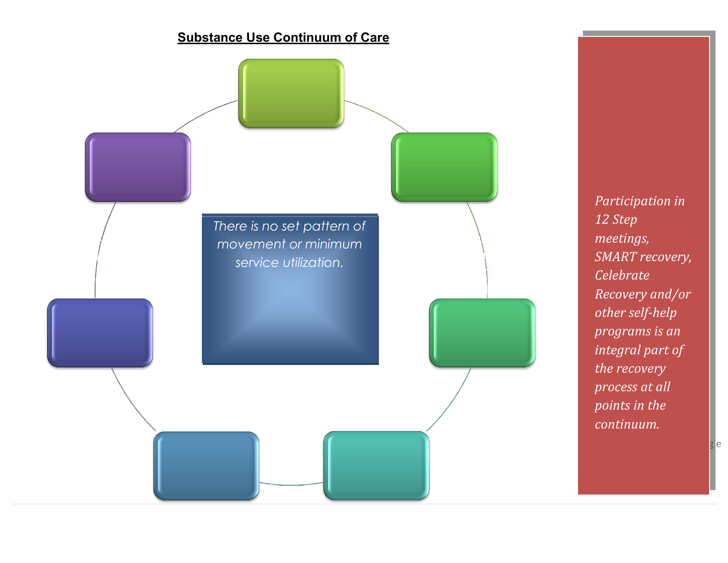

*Participation in 12 Step meetings, SMART recovery, Celebrate Recovery and/or other self-help programs is an integral part of the recovery process at all points in the continuum.*

4 <mark>g e</mark>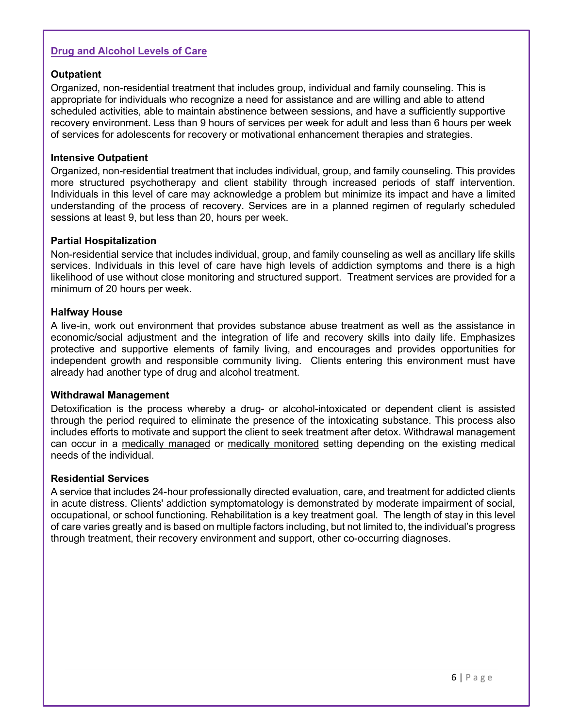## **Drug and Alcohol Levels of Care**

## **Outpatient**

Organized, non-residential treatment that includes group, individual and family counseling. This is appropriate for individuals who recognize a need for assistance and are willing and able to attend scheduled activities, able to maintain abstinence between sessions, and have a sufficiently supportive recovery environment. Less than 9 hours of services per week for adult and less than 6 hours per week of services for adolescents for recovery or motivational enhancement therapies and strategies.

## **Intensive Outpatient**

Organized, non-residential treatment that includes individual, group, and family counseling. This provides more structured psychotherapy and client stability through increased periods of staff intervention. Individuals in this level of care may acknowledge a problem but minimize its impact and have a limited understanding of the process of recovery. Services are in a planned regimen of regularly scheduled sessions at least 9, but less than 20, hours per week.

## **Partial Hospitalization**

Non-residential service that includes individual, group, and family counseling as well as ancillary life skills services. Individuals in this level of care have high levels of addiction symptoms and there is a high likelihood of use without close monitoring and structured support. Treatment services are provided for a minimum of 20 hours per week.

## **Halfway House**

A live-in, work out environment that provides substance abuse treatment as well as the assistance in economic/social adjustment and the integration of life and recovery skills into daily life. Emphasizes protective and supportive elements of family living, and encourages and provides opportunities for independent growth and responsible community living. Clients entering this environment must have already had another type of drug and alcohol treatment.

## **Withdrawal Management**

Detoxification is the process whereby a drug- or alcohol-intoxicated or dependent client is assisted through the period required to eliminate the presence of the intoxicating substance. This process also includes efforts to motivate and support the client to seek treatment after detox. Withdrawal management can occur in a medically managed or medically monitored setting depending on the existing medical needs of the individual.

## **Residential Services**

A service that includes 24-hour professionally directed evaluation, care, and treatment for addicted clients in acute distress. Clients' addiction symptomatology is demonstrated by moderate impairment of social, occupational, or school functioning. Rehabilitation is a key treatment goal. The length of stay in this level of care varies greatly and is based on multiple factors including, but not limited to, the individual's progress through treatment, their recovery environment and support, other co-occurring diagnoses.